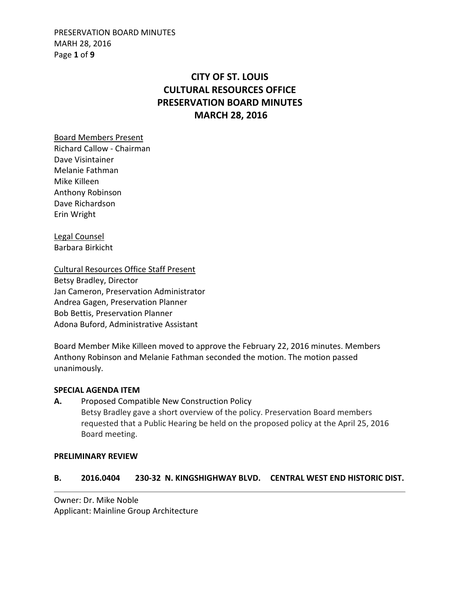PRESERVATION BOARD MINUTES MARH 28, 2016 Page **1** of **9**

# **CITY OF ST. LOUIS CULTURAL RESOURCES OFFICE PRESERVATION BOARD MINUTES MARCH 28, 2016**

Board Members Present Richard Callow - Chairman Dave Visintainer Melanie Fathman Mike Killeen Anthony Robinson Dave Richardson Erin Wright

Legal Counsel Barbara Birkicht

Cultural Resources Office Staff Present Betsy Bradley, Director Jan Cameron, Preservation Administrator Andrea Gagen, Preservation Planner Bob Bettis, Preservation Planner Adona Buford, Administrative Assistant

Board Member Mike Killeen moved to approve the February 22, 2016 minutes. Members Anthony Robinson and Melanie Fathman seconded the motion. The motion passed unanimously.

### **SPECIAL AGENDA ITEM**

**A.** Proposed Compatible New Construction Policy Betsy Bradley gave a short overview of the policy. Preservation Board members requested that a Public Hearing be held on the proposed policy at the April 25, 2016 Board meeting.

#### **PRELIMINARY REVIEW**

### **B. 2016.0404 230-32 N. KINGSHIGHWAY BLVD. CENTRAL WEST END HISTORIC DIST.**

Owner: Dr. Mike Noble Applicant: Mainline Group Architecture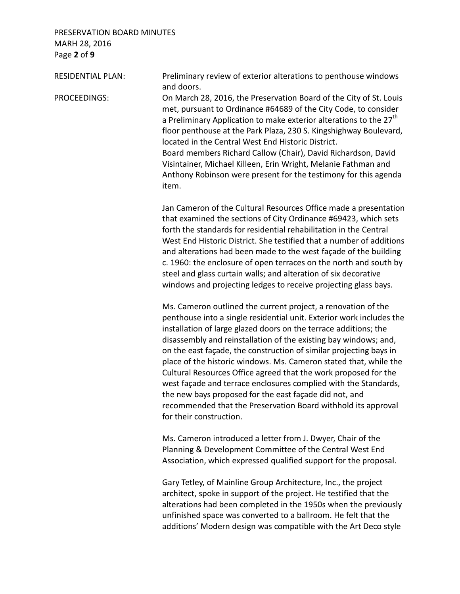## PRESERVATION BOARD MINUTES MARH 28, 2016 Page **2** of **9**

RESIDENTIAL PLAN: Preliminary review of exterior alterations to penthouse windows and doors.

PROCEEDINGS: On March 28, 2016, the Preservation Board of the City of St. Louis met, pursuant to Ordinance #64689 of the City Code, to consider a Preliminary Application to make exterior alterations to the 27<sup>th</sup> floor penthouse at the Park Plaza, 230 S. Kingshighway Boulevard, located in the Central West End Historic District. Board members Richard Callow (Chair), David Richardson, David Visintainer, Michael Killeen, Erin Wright, Melanie Fathman and Anthony Robinson were present for the testimony for this agenda item.

> Jan Cameron of the Cultural Resources Office made a presentation that examined the sections of City Ordinance #69423, which sets forth the standards for residential rehabilitation in the Central West End Historic District. She testified that a number of additions and alterations had been made to the west façade of the building c. 1960: the enclosure of open terraces on the north and south by steel and glass curtain walls; and alteration of six decorative windows and projecting ledges to receive projecting glass bays.

> Ms. Cameron outlined the current project, a renovation of the penthouse into a single residential unit. Exterior work includes the installation of large glazed doors on the terrace additions; the disassembly and reinstallation of the existing bay windows; and, on the east façade, the construction of similar projecting bays in place of the historic windows. Ms. Cameron stated that, while the Cultural Resources Office agreed that the work proposed for the west façade and terrace enclosures complied with the Standards, the new bays proposed for the east façade did not, and recommended that the Preservation Board withhold its approval for their construction.

 Ms. Cameron introduced a letter from J. Dwyer, Chair of the Planning & Development Committee of the Central West End Association, which expressed qualified support for the proposal.

 Gary Tetley, of Mainline Group Architecture, Inc., the project architect, spoke in support of the project. He testified that the alterations had been completed in the 1950s when the previously unfinished space was converted to a ballroom. He felt that the additions' Modern design was compatible with the Art Deco style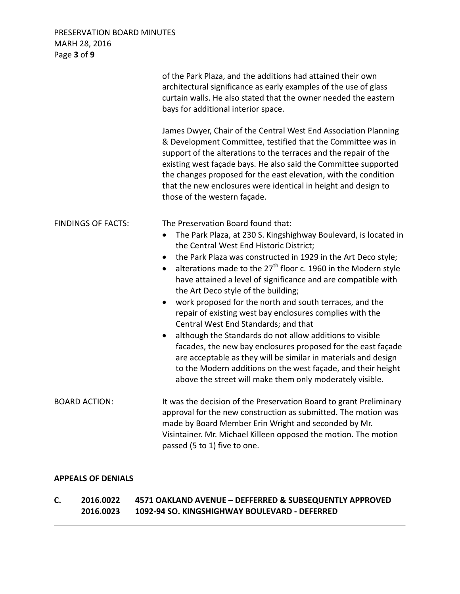## PRESERVATION BOARD MINUTES MARH 28, 2016 Page **3** of **9**

|                           | of the Park Plaza, and the additions had attained their own<br>architectural significance as early examples of the use of glass<br>curtain walls. He also stated that the owner needed the eastern<br>bays for additional interior space.                                                                                                                                                                                                                                                                                                                                                                                                                                                                                                                                                                                                                                                                                                                         |
|---------------------------|-------------------------------------------------------------------------------------------------------------------------------------------------------------------------------------------------------------------------------------------------------------------------------------------------------------------------------------------------------------------------------------------------------------------------------------------------------------------------------------------------------------------------------------------------------------------------------------------------------------------------------------------------------------------------------------------------------------------------------------------------------------------------------------------------------------------------------------------------------------------------------------------------------------------------------------------------------------------|
|                           | James Dwyer, Chair of the Central West End Association Planning<br>& Development Committee, testified that the Committee was in<br>support of the alterations to the terraces and the repair of the<br>existing west façade bays. He also said the Committee supported<br>the changes proposed for the east elevation, with the condition<br>that the new enclosures were identical in height and design to<br>those of the western façade.                                                                                                                                                                                                                                                                                                                                                                                                                                                                                                                       |
| <b>FINDINGS OF FACTS:</b> | The Preservation Board found that:<br>The Park Plaza, at 230 S. Kingshighway Boulevard, is located in<br>$\bullet$<br>the Central West End Historic District;<br>the Park Plaza was constructed in 1929 in the Art Deco style;<br>$\bullet$<br>alterations made to the 27 <sup>th</sup> floor c. 1960 in the Modern style<br>$\bullet$<br>have attained a level of significance and are compatible with<br>the Art Deco style of the building;<br>work proposed for the north and south terraces, and the<br>$\bullet$<br>repair of existing west bay enclosures complies with the<br>Central West End Standards; and that<br>although the Standards do not allow additions to visible<br>$\bullet$<br>facades, the new bay enclosures proposed for the east façade<br>are acceptable as they will be similar in materials and design<br>to the Modern additions on the west façade, and their height<br>above the street will make them only moderately visible. |
| <b>BOARD ACTION:</b>      | It was the decision of the Preservation Board to grant Preliminary<br>approval for the new construction as submitted. The motion was<br>made by Board Member Erin Wright and seconded by Mr.<br>Visintainer. Mr. Michael Killeen opposed the motion. The motion<br>passed (5 to 1) five to one.                                                                                                                                                                                                                                                                                                                                                                                                                                                                                                                                                                                                                                                                   |

### **APPEALS OF DENIALS**

**C. 2016.0022 4571 OAKLAND AVENUE – DEFFERRED & SUBSEQUENTLY APPROVED 2016.0023 1092-94 SO. KINGSHIGHWAY BOULEVARD - DEFERRED**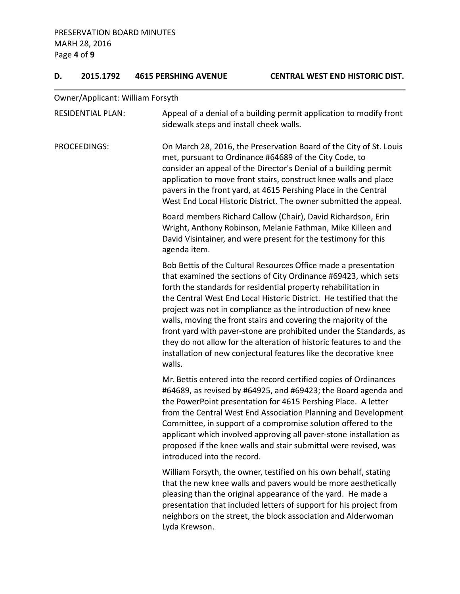## **D. 2015.1792 4615 PERSHING AVENUE CENTRAL WEST END HISTORIC DIST.**

Owner/Applicant: William Forsyth

| <b>RESIDENTIAL PLAN:</b> | Appeal of a denial of a building permit application to modify front<br>sidewalk steps and install cheek walls.                                                                                                                                                                                                                                                                                                                                                                                                                                                                                                                               |
|--------------------------|----------------------------------------------------------------------------------------------------------------------------------------------------------------------------------------------------------------------------------------------------------------------------------------------------------------------------------------------------------------------------------------------------------------------------------------------------------------------------------------------------------------------------------------------------------------------------------------------------------------------------------------------|
| PROCEEDINGS:             | On March 28, 2016, the Preservation Board of the City of St. Louis<br>met, pursuant to Ordinance #64689 of the City Code, to<br>consider an appeal of the Director's Denial of a building permit<br>application to move front stairs, construct knee walls and place<br>pavers in the front yard, at 4615 Pershing Place in the Central<br>West End Local Historic District. The owner submitted the appeal.                                                                                                                                                                                                                                 |
|                          | Board members Richard Callow (Chair), David Richardson, Erin<br>Wright, Anthony Robinson, Melanie Fathman, Mike Killeen and<br>David Visintainer, and were present for the testimony for this<br>agenda item.                                                                                                                                                                                                                                                                                                                                                                                                                                |
|                          | Bob Bettis of the Cultural Resources Office made a presentation<br>that examined the sections of City Ordinance #69423, which sets<br>forth the standards for residential property rehabilitation in<br>the Central West End Local Historic District. He testified that the<br>project was not in compliance as the introduction of new knee<br>walls, moving the front stairs and covering the majority of the<br>front yard with paver-stone are prohibited under the Standards, as<br>they do not allow for the alteration of historic features to and the<br>installation of new conjectural features like the decorative knee<br>walls. |
|                          | Mr. Bettis entered into the record certified copies of Ordinances<br>#64689, as revised by #64925, and #69423; the Board agenda and<br>the PowerPoint presentation for 4615 Pershing Place. A letter<br>from the Central West End Association Planning and Development<br>Committee, in support of a compromise solution offered to the<br>applicant which involved approving all paver-stone installation as<br>proposed if the knee walls and stair submittal were revised, was<br>introduced into the record.                                                                                                                             |
|                          | William Forsyth, the owner, testified on his own behalf, stating<br>that the new knee walls and pavers would be more aesthetically<br>pleasing than the original appearance of the yard. He made a<br>presentation that included letters of support for his project from<br>neighbors on the street, the block association and Alderwoman<br>Lyda Krewson.                                                                                                                                                                                                                                                                                   |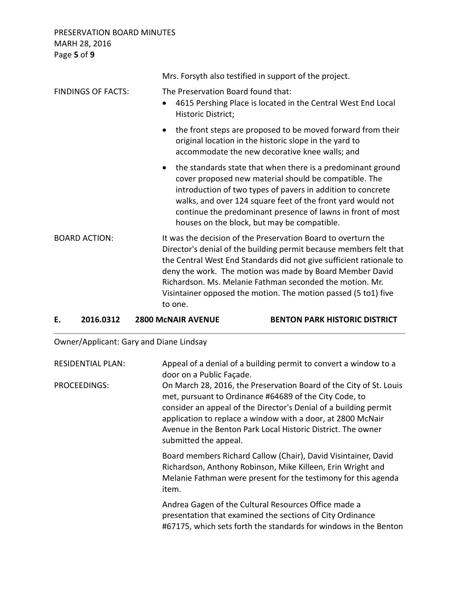PRESERVATION BOARD MINUTES MARH 28, 2016 Page **5** of **9**

|                           | Mrs. Forsyth also testified in support of the project.                                                                                                                                                                                                                                                                                                                                                          |
|---------------------------|-----------------------------------------------------------------------------------------------------------------------------------------------------------------------------------------------------------------------------------------------------------------------------------------------------------------------------------------------------------------------------------------------------------------|
| <b>FINDINGS OF FACTS:</b> | The Preservation Board found that:<br>4615 Pershing Place is located in the Central West End Local<br>$\bullet$<br>Historic District;                                                                                                                                                                                                                                                                           |
|                           | the front steps are proposed to be moved forward from their<br>$\bullet$<br>original location in the historic slope in the yard to<br>accommodate the new decorative knee walls; and                                                                                                                                                                                                                            |
|                           | the standards state that when there is a predominant ground<br>$\bullet$<br>cover proposed new material should be compatible. The<br>introduction of two types of pavers in addition to concrete<br>walks, and over 124 square feet of the front yard would not<br>continue the predominant presence of lawns in front of most<br>houses on the block, but may be compatible.                                   |
| <b>BOARD ACTION:</b>      | It was the decision of the Preservation Board to overturn the<br>Director's denial of the building permit because members felt that<br>the Central West End Standards did not give sufficient rationale to<br>deny the work. The motion was made by Board Member David<br>Richardson. Ms. Melanie Fathman seconded the motion. Mr.<br>Visintainer opposed the motion. The motion passed (5 to1) five<br>to one. |

**E. 2016.0312 2800 McNAIR AVENUE BENTON PARK HISTORIC DISTRICT** 

Owner/Applicant: Gary and Diane Lindsay

| <b>RESIDENTIAL PLAN:</b> | Appeal of a denial of a building permit to convert a window to a<br>door on a Public Façade.                                                                                                                                                                                                                                                             |
|--------------------------|----------------------------------------------------------------------------------------------------------------------------------------------------------------------------------------------------------------------------------------------------------------------------------------------------------------------------------------------------------|
| PROCEEDINGS:             | On March 28, 2016, the Preservation Board of the City of St. Louis<br>met, pursuant to Ordinance #64689 of the City Code, to<br>consider an appeal of the Director's Denial of a building permit<br>application to replace a window with a door, at 2800 McNair<br>Avenue in the Benton Park Local Historic District. The owner<br>submitted the appeal. |
|                          | Board members Richard Callow (Chair), David Visintainer, David<br>Richardson, Anthony Robinson, Mike Killeen, Erin Wright and<br>Melanie Fathman were present for the testimony for this agenda<br>item.                                                                                                                                                 |
|                          | Andrea Gagen of the Cultural Resources Office made a<br>presentation that examined the sections of City Ordinance<br>#67175, which sets forth the standards for windows in the Benton                                                                                                                                                                    |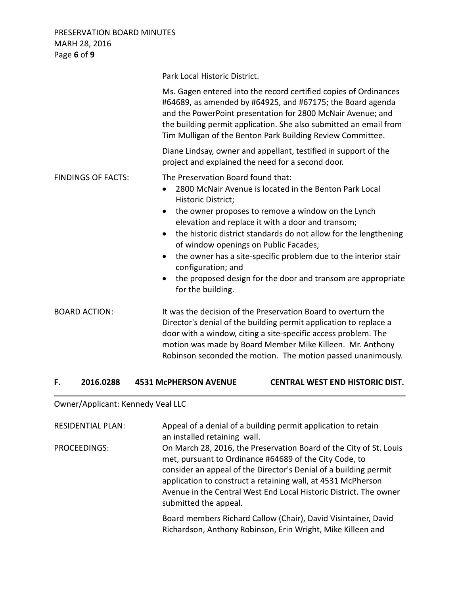PRESERVATION BOARD MINUTES MARH 28, 2016 Page **6** of **9**

|                           | Park Local Historic District.                                                                                                                                                                                 |                                                                                                                                                                                                                                                                                                                                                                          |
|---------------------------|---------------------------------------------------------------------------------------------------------------------------------------------------------------------------------------------------------------|--------------------------------------------------------------------------------------------------------------------------------------------------------------------------------------------------------------------------------------------------------------------------------------------------------------------------------------------------------------------------|
|                           |                                                                                                                                                                                                               | Ms. Gagen entered into the record certified copies of Ordinances<br>#64689, as amended by #64925, and #67175; the Board agenda<br>and the PowerPoint presentation for 2800 McNair Avenue; and<br>the building permit application. She also submitted an email from<br>Tim Mulligan of the Benton Park Building Review Committee.                                         |
|                           | project and explained the need for a second door.                                                                                                                                                             | Diane Lindsay, owner and appellant, testified in support of the                                                                                                                                                                                                                                                                                                          |
| <b>FINDINGS OF FACTS:</b> | The Preservation Board found that:<br>$\bullet$<br>Historic District;<br>$\bullet$<br>$\bullet$<br>of window openings on Public Facades;<br>$\bullet$<br>configuration; and<br>$\bullet$<br>for the building. | 2800 McNair Avenue is located in the Benton Park Local<br>the owner proposes to remove a window on the Lynch<br>elevation and replace it with a door and transom;<br>the historic district standards do not allow for the lengthening<br>the owner has a site-specific problem due to the interior stair<br>the proposed design for the door and transom are appropriate |
| <b>BOARD ACTION:</b>      |                                                                                                                                                                                                               | It was the decision of the Preservation Board to overturn the<br>Director's denial of the building permit application to replace a<br>door with a window, citing a site-specific access problem. The<br>motion was made by Board Member Mike Killeen. Mr. Anthony<br>Robinson seconded the motion. The motion passed unanimously.                                        |
| 2016.0288<br>F.           | <b>4531 McPHERSON AVENUE</b>                                                                                                                                                                                  | <b>CENTRAL WEST END HISTORIC DIST.</b>                                                                                                                                                                                                                                                                                                                                   |

## Owner/Applicant: Kennedy Veal LLC

| <b>RESIDENTIAL PLAN:</b> | Appeal of a denial of a building permit application to retain<br>an installed retaining wall.                                                                                                                                                                                                                                                                  |
|--------------------------|----------------------------------------------------------------------------------------------------------------------------------------------------------------------------------------------------------------------------------------------------------------------------------------------------------------------------------------------------------------|
| PROCEEDINGS:             | On March 28, 2016, the Preservation Board of the City of St. Louis<br>met, pursuant to Ordinance #64689 of the City Code, to<br>consider an appeal of the Director's Denial of a building permit<br>application to construct a retaining wall, at 4531 McPherson<br>Avenue in the Central West End Local Historic District. The owner<br>submitted the appeal. |
|                          | Board members Richard Callow (Chair), David Visintainer, David<br>Richardson, Anthony Robinson, Erin Wright, Mike Killeen and                                                                                                                                                                                                                                  |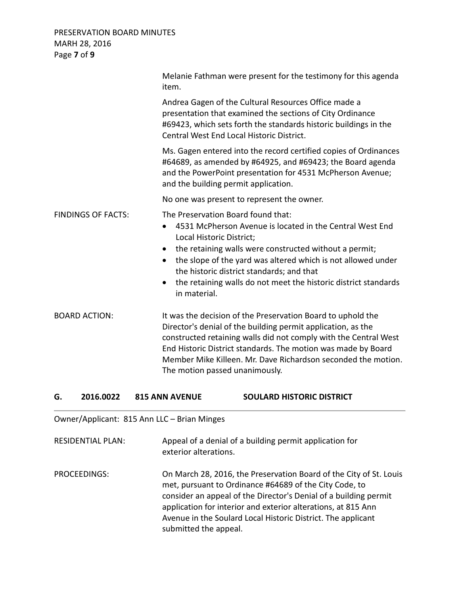## PRESERVATION BOARD MINUTES MARH 28, 2016 Page **7** of **9**

|                           | Melanie Fathman were present for the testimony for this agenda<br>item.                                                                                                                                                                                                                                                                                                                                        |
|---------------------------|----------------------------------------------------------------------------------------------------------------------------------------------------------------------------------------------------------------------------------------------------------------------------------------------------------------------------------------------------------------------------------------------------------------|
|                           | Andrea Gagen of the Cultural Resources Office made a<br>presentation that examined the sections of City Ordinance<br>#69423, which sets forth the standards historic buildings in the<br>Central West End Local Historic District.                                                                                                                                                                             |
|                           | Ms. Gagen entered into the record certified copies of Ordinances<br>#64689, as amended by #64925, and #69423; the Board agenda<br>and the PowerPoint presentation for 4531 McPherson Avenue;<br>and the building permit application.                                                                                                                                                                           |
|                           | No one was present to represent the owner.                                                                                                                                                                                                                                                                                                                                                                     |
| <b>FINDINGS OF FACTS:</b> | The Preservation Board found that:<br>4531 McPherson Avenue is located in the Central West End<br>Local Historic District;<br>the retaining walls were constructed without a permit;<br>the slope of the yard was altered which is not allowed under<br>$\bullet$<br>the historic district standards; and that<br>the retaining walls do not meet the historic district standards<br>$\bullet$<br>in material. |
| <b>BOARD ACTION:</b>      | It was the decision of the Preservation Board to uphold the<br>Director's denial of the building permit application, as the<br>constructed retaining walls did not comply with the Central West<br>End Historic District standards. The motion was made by Board<br>Member Mike Killeen. Mr. Dave Richardson seconded the motion.<br>The motion passed unanimously.                                            |

## **G. 2016.0022 815 ANN AVENUE SOULARD HISTORIC DISTRICT**

Owner/Applicant: 815 Ann LLC – Brian Minges

RESIDENTIAL PLAN: Appeal of a denial of a building permit application for exterior alterations.

PROCEEDINGS: On March 28, 2016, the Preservation Board of the City of St. Louis met, pursuant to Ordinance #64689 of the City Code, to consider an appeal of the Director's Denial of a building permit application for interior and exterior alterations, at 815 Ann Avenue in the Soulard Local Historic District. The applicant submitted the appeal.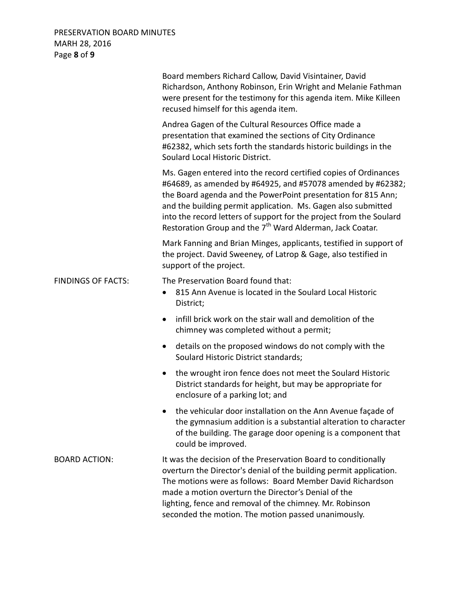## PRESERVATION BOARD MINUTES MARH 28, 2016 Page **8** of **9**

|                           | Board members Richard Callow, David Visintainer, David<br>Richardson, Anthony Robinson, Erin Wright and Melanie Fathman<br>were present for the testimony for this agenda item. Mike Killeen<br>recused himself for this agenda item.                                                                                                                                                                             |
|---------------------------|-------------------------------------------------------------------------------------------------------------------------------------------------------------------------------------------------------------------------------------------------------------------------------------------------------------------------------------------------------------------------------------------------------------------|
|                           | Andrea Gagen of the Cultural Resources Office made a<br>presentation that examined the sections of City Ordinance<br>#62382, which sets forth the standards historic buildings in the<br>Soulard Local Historic District.                                                                                                                                                                                         |
|                           | Ms. Gagen entered into the record certified copies of Ordinances<br>#64689, as amended by #64925, and #57078 amended by #62382;<br>the Board agenda and the PowerPoint presentation for 815 Ann;<br>and the building permit application. Ms. Gagen also submitted<br>into the record letters of support for the project from the Soulard<br>Restoration Group and the 7 <sup>th</sup> Ward Alderman, Jack Coatar. |
|                           | Mark Fanning and Brian Minges, applicants, testified in support of<br>the project. David Sweeney, of Latrop & Gage, also testified in<br>support of the project.                                                                                                                                                                                                                                                  |
| <b>FINDINGS OF FACTS:</b> | The Preservation Board found that:<br>815 Ann Avenue is located in the Soulard Local Historic<br>$\bullet$<br>District;                                                                                                                                                                                                                                                                                           |
|                           | infill brick work on the stair wall and demolition of the<br>$\bullet$<br>chimney was completed without a permit;                                                                                                                                                                                                                                                                                                 |
|                           | details on the proposed windows do not comply with the<br>$\bullet$<br>Soulard Historic District standards;                                                                                                                                                                                                                                                                                                       |
|                           | the wrought iron fence does not meet the Soulard Historic<br>$\bullet$<br>District standards for height, but may be appropriate for<br>enclosure of a parking lot; and                                                                                                                                                                                                                                            |
|                           | the vehicular door installation on the Ann Avenue façade of<br>the gymnasium addition is a substantial alteration to character<br>of the building. The garage door opening is a component that<br>could be improved.                                                                                                                                                                                              |
| <b>BOARD ACTION:</b>      | It was the decision of the Preservation Board to conditionally<br>overturn the Director's denial of the building permit application.<br>The motions were as follows: Board Member David Richardson<br>made a motion overturn the Director's Denial of the<br>lighting, fence and removal of the chimney. Mr. Robinson<br>seconded the motion. The motion passed unanimously.                                      |